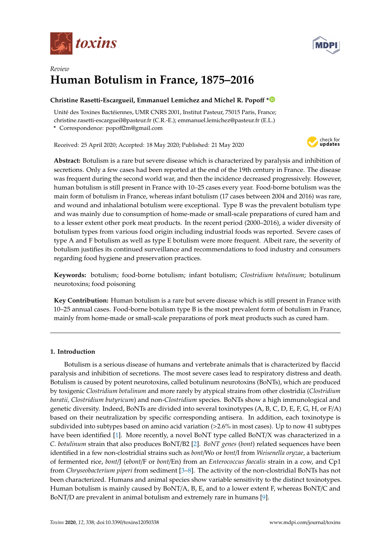



# *Review* **Human Botulism in France, 1875–2016**

# **Christine Rasetti-Escargueil, Emmanuel Lemichez and Michel R. Popo**ff **[\\*](https://orcid.org/0000-0001-9305-8989)**

Unité des Toxines Bactéiennes, UMR CNRS 2001, Institut Pasteur, 75015 Paris, France; christine.rasetti-escargueil@pasteur.fr (C.R.-E.); emmanuel.lemichez@pasteur.fr (E.L.) **\*** Correspondence: popoff2m@gmail.com

Received: 25 April 2020; Accepted: 18 May 2020; Published: 21 May 2020



**Abstract:** Botulism is a rare but severe disease which is characterized by paralysis and inhibition of secretions. Only a few cases had been reported at the end of the 19th century in France. The disease was frequent during the second world war, and then the incidence decreased progressively. However, human botulism is still present in France with 10–25 cases every year. Food-borne botulism was the main form of botulism in France, whereas infant botulism (17 cases between 2004 and 2016) was rare, and wound and inhalational botulism were exceptional. Type B was the prevalent botulism type and was mainly due to consumption of home-made or small-scale preparations of cured ham and to a lesser extent other pork meat products. In the recent period (2000–2016), a wider diversity of botulism types from various food origin including industrial foods was reported. Severe cases of type A and F botulism as well as type E botulism were more frequent. Albeit rare, the severity of botulism justifies its continued surveillance and recommendations to food industry and consumers regarding food hygiene and preservation practices.

**Keywords:** botulism; food-borne botulism; infant botulism; *Clostridium botulinum*; botulinum neurotoxins; food poisoning

**Key Contribution:** Human botulism is a rare but severe disease which is still present in France with 10–25 annual cases. Food-borne botulism type B is the most prevalent form of botulism in France, mainly from home-made or small-scale preparations of pork meat products such as cured ham.

# **1. Introduction**

Botulism is a serious disease of humans and vertebrate animals that is characterized by flaccid paralysis and inhibition of secretions. The most severe cases lead to respiratory distress and death. Botulism is caused by potent neurotoxins, called botulinum neurotoxins (BoNTs), which are produced by toxigenic *Clostridium botulinum* and more rarely by atypical strains from other clostridia (*Clostridium baratii, Clostridium butyricum*) and non-*Clostridium* species. BoNTs show a high immunological and genetic diversity. Indeed, BoNTs are divided into several toxinotypes (A, B, C, D, E, F, G, H, or F/A) based on their neutralization by specific corresponding antisera. In addition, each toxinotype is subdivided into subtypes based on amino acid variation (>2.6% in most cases). Up to now 41 subtypes have been identified [\[1\]](#page-12-0). More recently, a novel BoNT type called BoNT/X was characterized in a *C. botulinum* strain that also produces BoNT/B2 [\[2\]](#page-12-1). *BoNT genes* (*bont*) related sequences have been identified in a few non-clostridial strains such as *bont*/Wo or *bont*/I from *Weisenella oryzae*, a bacterium of fermented rice, *bont*/J (e*bont*/F or *bont*/En) from an *Enterococcus faecalis* strain in a cow, and Cp1 from *Chryseobacterium piperi* from sediment [\[3](#page-12-2)[–8\]](#page-12-3). The activity of the non-clostridial BoNTs has not been characterized. Humans and animal species show variable sensitivity to the distinct toxinotypes. Human botulism is mainly caused by BoNT/A, B, E, and to a lower extent F, whereas BoNT/C and BoNT/D are prevalent in animal botulism and extremely rare in humans [\[9\]](#page-12-4).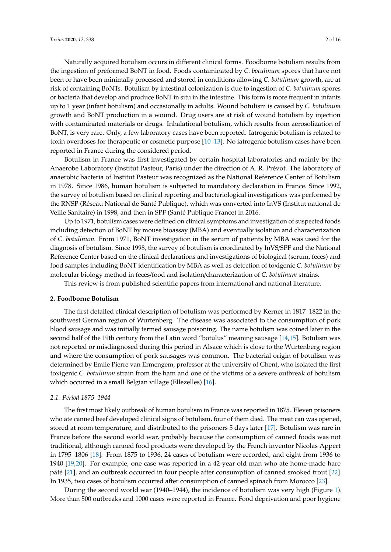Naturally acquired botulism occurs in different clinical forms. Foodborne botulism results from the ingestion of preformed BoNT in food. Foods contaminated by *C. botulinum* spores that have not been or have been minimally processed and stored in conditions allowing *C. botulinum* growth, are at risk of containing BoNTs. Botulism by intestinal colonization is due to ingestion of *C. botulinum* spores or bacteria that develop and produce BoNT in situ in the intestine. This form is more frequent in infants up to 1 year (infant botulism) and occasionally in adults. Wound botulism is caused by *C. botulinum* growth and BoNT production in a wound. Drug users are at risk of wound botulism by injection with contaminated materials or drugs. Inhalational botulism, which results from aerosolization of BoNT, is very rare. Only, a few laboratory cases have been reported. Iatrogenic botulism is related to toxin overdoses for therapeutic or cosmetic purpose [\[10–](#page-12-5)[13\]](#page-12-6). No iatrogenic botulism cases have been reported in France during the considered period.

Botulism in France was first investigated by certain hospital laboratories and mainly by the Anaerobe Laboratory (Institut Pasteur, Paris) under the direction of A. R. Prévot. The laboratory of anaerobic bacteria of Institut Pasteur was recognized as the National Reference Center of Botulism in 1978. Since 1986, human botulism is subjected to mandatory declaration in France. Since 1992, the survey of botulism based on clinical reporting and bacteriological investigations was performed by the RNSP (Réseau National de Santé Publique), which was converted into InVS (Institut national de Veille Sanitaire) in 1998, and then in SPF (Santé Publique France) in 2016.

Up to 1971, botulism cases were defined on clinical symptoms and investigation of suspected foods including detection of BoNT by mouse bioassay (MBA) and eventually isolation and characterization of *C. botulinum.* From 1971, BoNT investigation in the serum of patients by MBA was used for the diagnosis of botulism. Since 1998, the survey of botulism is coordinated by InVS/SPF and the National Reference Center based on the clinical declarations and investigations of biological (serum, feces) and food samples including BoNT identification by MBA as well as detection of toxigenic *C. botulinum* by molecular biology method in feces/food and isolation/characterization of *C. botulinum* strains.

This review is from published scientific papers from international and national literature.

### **2. Foodborne Botulism**

The first detailed clinical description of botulism was performed by Kerner in 1817–1822 in the southwest German region of Wurtenberg. The disease was associated to the consumption of pork blood sausage and was initially termed sausage poisoning. The name botulism was coined later in the second half of the 19th century from the Latin word "botulus" meaning sausage [\[14](#page-12-7)[,15\]](#page-12-8). Botulism was not reported or misdiagnosed during this period in Alsace which is close to the Wurtenberg region and where the consumption of pork sausages was common. The bacterial origin of botulism was determined by Emile Pierre van Ermengem, professor at the university of Ghent, who isolated the first toxigenic *C. botulinum* strain from the ham and one of the victims of a severe outbreak of botulism which occurred in a small Belgian village (Ellezelles) [\[16\]](#page-13-0).

### *2.1. Period 1875–1944*

The first most likely outbreak of human botulism in France was reported in 1875. Eleven prisoners who ate canned beef developed clinical signs of botulism, four of them died. The meat can was opened, stored at room temperature, and distributed to the prisoners 5 days later [\[17\]](#page-13-1). Botulism was rare in France before the second world war, probably because the consumption of canned foods was not traditional, although canned food products were developed by the French inventor Nicolas Appert in 1795–1806 [\[18\]](#page-13-2). From 1875 to 1936, 24 cases of botulism were recorded, and eight from 1936 to 1940 [\[19](#page-13-3)[,20\]](#page-13-4). For example, one case was reported in a 42-year old man who ate home-made hare pâté [\[21\]](#page-13-5), and an outbreak occurred in four people after consumption of canned smoked trout [\[22\]](#page-13-6). In 1935, two cases of botulism occurred after consumption of canned spinach from Morocco [\[23\]](#page-13-7).

During the second world war (1940–1944), the incidence of botulism was very high (Figure [1\)](#page-2-0). More than 500 outbreaks and 1000 cases were reported in France. Food deprivation and poor hygiene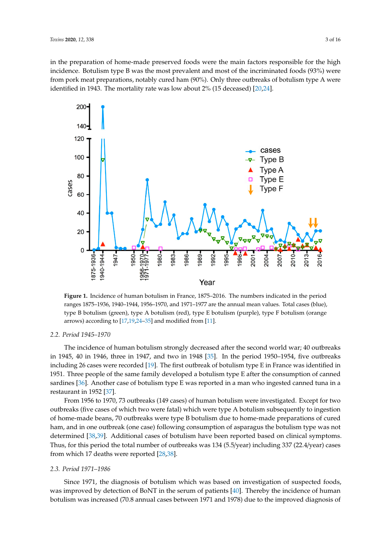in the preparation of home-made preserved foods were the main factors responsible for the high incidence. Botulism type B was the most prevalent and most of the incriminated foods (93%) were from pork meat preparations, notably cured ham (90%). Only three outbreaks of botulism type A were identified in 1943. The mortality rate was low about 2% (15 deceased) [\[20](#page-13-4)[,24\]](#page-13-8).

<span id="page-2-0"></span>

**Figure 1.** Incidence of human botulism in France, 1875**–**2016. The numbers indicated in the period **Figure 1.** Incidence of human botulism in France, 1875–2016. The numbers indicated in the period ranges 1875**–**1936, 1940**–**1944, 1956**–**1970, and 1971**–**1977 are the annual mean values. Total cases ranges 1875–1936, 1940–1944, 1956–1970, and 1971–1977 are the annual mean values. Total cases (blue), type B botulism (green), type A botulism (red), type E botulism (purple), type F botulism (orange arrows) according to  $[17,19,24-35]$  $[17,19,24-35]$  $[17,19,24-35]$  $[17,19,24-35]$  and modified from [\[11\]](#page-12-9).

# *2.2. Period 1945–1970 2.2. Period 1945–1970*

The incidence of human botulism strongly decreased after the second world war; 40 outbreaks The incidence of human botulism strongly decreased after the second world war; 40 outbreaks in 1945, 40 in 1946, three in 1947, and two in 1948 [35]. In the period 1950**–**1954, five outbreaks in 1945, 40 in 1946, three in 1947, and two in 1948 [\[35\]](#page-13-9). In the period 1950–1954, five outbreaks including 26 cases were recorde[d \[19](#page-13-3)]. The first outbreak of botulism type E in France was identified including 26 cases were recorded [19]. The first outbreak of botulism type E in France was identified in 1951. Three people of the same family developed a botulism type E after the consumption of canned sardines [\[36\]](#page-13-10). Another case of botulism type E was reported in a man who ingested canned tuna in a restaurant in 1952  $[37]$ .  $\frac{1}{2}$  outbreaks (149 cases) of the investigated. Except for  $\frac{1}{2}$  for  $\frac{1}{2}$  for  $\frac{1}{2}$  for  $\frac{1}{2}$  for  $\frac{1}{2}$  for  $\frac{1}{2}$  for  $\frac{1}{2}$  for  $\frac{1}{2}$  for  $\frac{1}{2}$  for  $\frac{1}{2}$  for  $\frac{1}{2}$  for  $\frac$ 

From 1956 to 1970, 73 outbreaks (149 cases) of human botulism were investigated. Except for two outbreaks (five cases of which two were fatal) which were type A botulism subsequently to ingestion of home-made beans, 70 outbreaks were type B botulism due to home-made preparations of cured ham, and in one outbreak (one case) following consumption of asparagus the botulism type was not determined [\[38,](#page-13-12)[39\]](#page-13-13). Additional cases of botulism have been reported based on clinical symptoms. Thus, for this period the total number of outbreaks was 134 (5.5/year) including 337 (22.4/year) cases from which 17 deaths were reported [\[28](#page-13-14)[,38\]](#page-13-12).

#### $\delta a$  1971–1986 *2.3. Period 1971–1986*

Since 1971, the diagnosis of botulism which was based on investigation of suspected foods, was improved by detection of BoNT in the serum of patients  $[40]$ . Thereby the incidence of human botulism was increased (70.8 annual cases between 1971 and 1978) due to the improved diagnosis of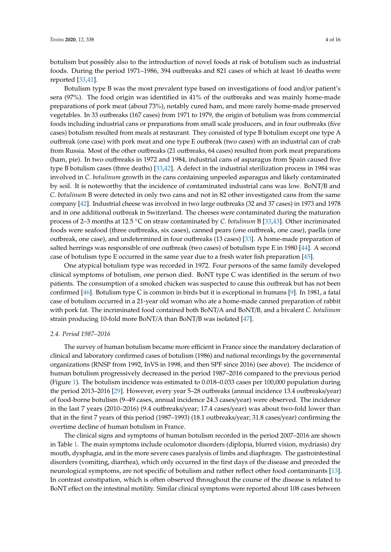botulism but possibly also to the introduction of novel foods at risk of botulism such as industrial foods. During the period 1971–1986, 394 outbreaks and 821 cases of which at least 16 deaths were reported [\[33](#page-13-16)[,41\]](#page-13-17).

Botulism type B was the most prevalent type based on investigations of food and/or patient's sera (97%). The food origin was identified in 41% of the outbreaks and was mainly home-made preparations of pork meat (about 73%), notably cured ham, and more rarely home-made preserved vegetables. In 33 outbreaks (167 cases) from 1971 to 1979, the origin of botulism was from commercial foods including industrial cans or preparations from small scale producers, and in four outbreaks (five cases) botulism resulted from meals at restaurant. They consisted of type B botulism except one type A outbreak (one case) with pork meat and one type E outbreak (two cases) with an industrial can of crab from Russia. Most of the other outbreaks (21 outbreaks, 64 cases) resulted from pork meat preparations (ham, pie). In two outbreaks in 1972 and 1984, industrial cans of asparagus from Spain caused five type B botulism cases (three deaths) [\[33,](#page-13-16)[42\]](#page-13-18). A defect in the industrial sterilization process in 1984 was involved in *C. botulinum* growth in the cans containing unpeeled asparagus and likely contaminated by soil. It is noteworthy that the incidence of contaminated industrial cans was low. BoNT/B and *C. botulinum* B were detected in only two cans and not in 82 other investigated cans from the same company [\[42\]](#page-13-18). Industrial cheese was involved in two large outbreaks (32 and 37 cases) in 1973 and 1978 and in one additional outbreak in Switzerland. The cheeses were contaminated during the maturation process of 2–3 months at 12.5 ◦C on straw contaminated by *C. botulinum* B [\[33](#page-13-16)[,43\]](#page-13-19). Other incriminated foods were seafood (three outbreaks, six cases), canned pears (one outbreak, one case), paella (one outbreak, one case), and undetermined in four outbreaks (13 cases) [\[33\]](#page-13-16). A home-made preparation of salted herrings was responsible of one outbreak (two cases) of botulism type E in 1980 [\[44\]](#page-13-20). A second case of botulism type E occurred in the same year due to a fresh water fish preparation [\[45\]](#page-14-0).

One atypical botulism type was recorded in 1972. Four persons of the same family developed clinical symptoms of botulism, one person died. BoNT type C was identified in the serum of two patients. The consumption of a smoked chicken was suspected to cause this outbreak but has not been confirmed [\[46\]](#page-14-1). Botulism type C is common in birds but it is exceptional in humans [\[9\]](#page-12-4). In 1981, a fatal case of botulism occurred in a 21-year old woman who ate a home-made canned preparation of rabbit with pork fat. The incriminated food contained both BoNT/A and BoNT/B, and a bivalent *C. botulinum* strain producing 10-fold more BoNT/A than BoNT/B was isolated [\[47\]](#page-14-2).

### *2.4. Period 1987–2016*

The survey of human botulism became more efficient in France since the mandatory declaration of clinical and laboratory confirmed cases of botulism (1986) and national recordings by the governmental organizations (RNSP from 1992, InVS in 1998, and then SPF since 2016) (see above). The incidence of human botulism progressively decreased in the period 1987–2016 compared to the previous period (Figure [1\)](#page-2-0). The botulism incidence was estimated to 0.018–0.033 cases per 100,000 population during the period 2013–2016 [\[29\]](#page-13-21). However, every year 5–28 outbreaks (annual incidence 13.4 outbreaks/year) of food-borne botulism (9–49 cases, annual incidence 24.3 cases/year) were observed. The incidence in the last 7 years (2010–2016) (9.4 outbreaks/year; 17.4 cases/year) was about two-fold lower than that in the first 7 years of this period (1987–1993) (18.1 outbreaks/year; 31.8 cases/year) confirming the overtime decline of human botulism in France.

The clinical signs and symptoms of human botulism recorded in the period 2007–2016 are shown in Table [1.](#page-4-0) The main symptoms include oculomotor disorders (diplopia, blurred vision, mydriasis) dry mouth, dysphagia, and in the more severe cases paralysis of limbs and diaphragm. The gastrointestinal disorders (vomiting, diarrhea), which only occurred in the first days of the disease and preceded the neurological symptoms, are not specific of botulism and rather reflect other food contaminants [\[13\]](#page-12-6). In contrast constipation, which is often observed throughout the course of the disease is related to BoNT effect on the intestinal motility. Similar clinical symptoms were reported about 108 cases between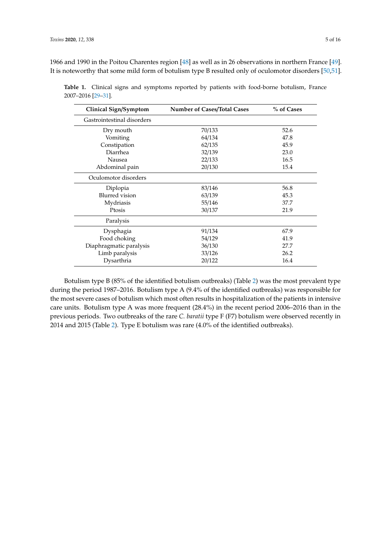1966 and 1990 in the Poitou Charentes region [\[48\]](#page-14-3) as well as in 26 observations in northern France [\[49\]](#page-14-4). It is noteworthy that some mild form of botulism type B resulted only of oculomotor disorders [\[50](#page-14-5)[,51\]](#page-14-6).

| Clinical Sign/Symptom      | <b>Number of Cases/Total Cases</b> | % of Cases |
|----------------------------|------------------------------------|------------|
| Gastrointestinal disorders |                                    |            |
| Dry mouth                  | 70/133                             | 52.6       |
| Vomiting                   | 64/134                             | 47.8       |
| Constipation               | 62/135                             | 45.9       |
| Diarrhea                   | 32/139                             | 23.0       |
| Nausea                     | 22/133                             | 16.5       |
| Abdominal pain             | 20/130                             | 15.4       |
| Oculomotor disorders       |                                    |            |
| Diplopia                   | 83/146                             | 56.8       |
| <b>Blurred</b> vision      | 63/139                             | 45.3       |
| Mydriasis                  | 55/146                             | 37.7       |
| Ptosis                     | 30/137                             | 21.9       |
| Paralysis                  |                                    |            |
| Dysphagia                  | 91/134                             | 67.9       |
| Food choking               | 54/129                             | 41.9       |
| Diaphragmatic paralysis    | 36/130                             | 27.7       |
| Limb paralysis             | 33/126                             | 26.2       |
| Dysarthria                 | 20/122                             | 16.4       |

<span id="page-4-0"></span>**Table 1.** Clinical signs and symptoms reported by patients with food-borne botulism, France 2007–2016 [\[29](#page-13-21)[–31\]](#page-13-22).

Botulism type B (85% of the identified botulism outbreaks) (Table [2\)](#page-7-0) was the most prevalent type during the period 1987–2016. Botulism type A (9.4% of the identified outbreaks) was responsible for the most severe cases of botulism which most often results in hospitalization of the patients in intensive care units. Botulism type A was more frequent (28.4%) in the recent period 2006–2016 than in the previous periods. Two outbreaks of the rare *C. baratii* type F (F7) botulism were observed recently in 2014 and 2015 (Table [2\)](#page-7-0). Type E botulism was rare (4.0% of the identified outbreaks).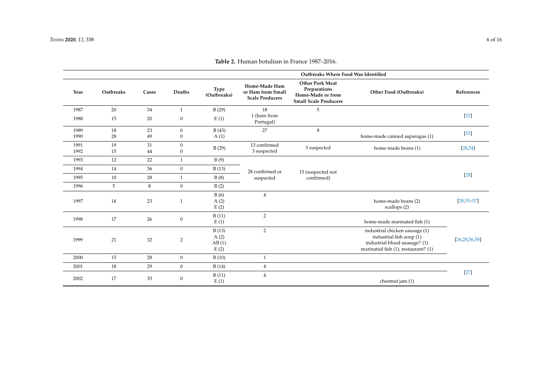|              |           |          |                                  | Outbreaks Where Food Was Identified |                                                                     |                                                                                             |                                                                                                                                    |                  |
|--------------|-----------|----------|----------------------------------|-------------------------------------|---------------------------------------------------------------------|---------------------------------------------------------------------------------------------|------------------------------------------------------------------------------------------------------------------------------------|------------------|
| Year         | Outbreaks | Cases    | Deaths                           | <b>Type</b><br>(Outbreaks)          | <b>Home-Made Ham</b><br>or Ham from Small<br><b>Scale Producers</b> | <b>Other Pork Meat</b><br>Preparations<br>Home-Made or from<br><b>Small Scale Producers</b> | Other Food (Outbreaks)                                                                                                             | References       |
| 1987         | 20        | 34       | $\mathbf{1}$                     | B(29)                               | 18                                                                  | 5                                                                                           |                                                                                                                                    |                  |
| 1988         | 15        | 20       | $\boldsymbol{0}$                 | E(1)                                | 1 (ham from<br>Portugal)                                            |                                                                                             |                                                                                                                                    | $[52]$           |
| 1989         | 18        | 23       | $\overline{0}$                   | B(43)                               | 27                                                                  | 8                                                                                           |                                                                                                                                    | $[53]$           |
| 1990         | 28        | 49       | $\boldsymbol{0}$                 | A(1)                                |                                                                     |                                                                                             | home-made canned asparagus (1)                                                                                                     |                  |
| 1991<br>1992 | 19<br>15  | 31<br>44 | $\boldsymbol{0}$<br>$\mathbf{0}$ | B(29)                               | 13 confirmed<br>3 suspected                                         | 3 suspected                                                                                 | home-made beans (1)                                                                                                                | [28, 54]         |
| 1993         | 12        | 22       | $\mathbf{1}$                     | B(9)                                |                                                                     |                                                                                             |                                                                                                                                    |                  |
| 1994         | 14        | 36       | $\overline{0}$                   | B(13)                               | 28 confirmed or                                                     | 15 (suspected not                                                                           |                                                                                                                                    |                  |
| 1995         | 10        | 28       | $\mathbf{1}$                     | B(8)                                | suspected                                                           | confirmed)                                                                                  |                                                                                                                                    | $[28]$           |
| 1996         | 5         | 8        | $\overline{0}$                   | B(2)                                |                                                                     |                                                                                             |                                                                                                                                    |                  |
| 1997         | 14        | 23       | $\mathbf{1}$                     | B(6)<br>A(2)<br>E(2)                | $\overline{4}$                                                      |                                                                                             | home-made beans (2)<br>scallops (2)                                                                                                | $[28, 55 - 57]$  |
| 1998         | 17        | 26       | $\mathbf{0}$                     | B(11)<br>E(1)                       | 2                                                                   |                                                                                             | home-made marinated fish (1)                                                                                                       |                  |
| 1999         | 21        | 32       | $\overline{2}$                   | B(13)<br>A(2)<br>AB(1)<br>E(2)      | 2                                                                   |                                                                                             | industrial chicken sausage (1)<br>industrial fish soup (1)<br>industrial blood sausage? (1)<br>marinated fish (1), restaurant? (1) | [26, 28, 56, 58] |
| 2000         | 15        | 28       | $\overline{0}$                   | B(10)                               | $\mathbf{1}$                                                        |                                                                                             |                                                                                                                                    |                  |
| 2001         | 18        | 29       | $\overline{0}$                   | B(14)                               | $\overline{4}$                                                      |                                                                                             |                                                                                                                                    |                  |
| 2002         | 17        | 33       | $\mathbf{0}$                     | B(11)<br>E(1)                       | $\overline{4}$                                                      |                                                                                             | chestnut jam (1)                                                                                                                   | $[27]$           |

**Table 2.** Human botulism in France 1987–2016.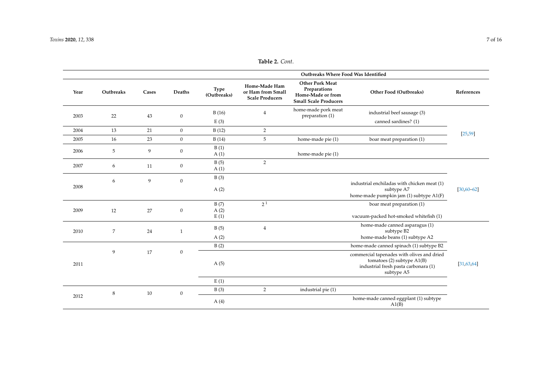|      | Outbreaks Where Food Was Identified |       |                  |                            |                                                                     |                                                                                             |                                                                                                                                |                 |
|------|-------------------------------------|-------|------------------|----------------------------|---------------------------------------------------------------------|---------------------------------------------------------------------------------------------|--------------------------------------------------------------------------------------------------------------------------------|-----------------|
| Year | Outbreaks                           | Cases | Deaths           | <b>Type</b><br>(Outbreaks) | <b>Home-Made Ham</b><br>or Ham from Small<br><b>Scale Producers</b> | <b>Other Pork Meat</b><br>Preparations<br>Home-Made or from<br><b>Small Scale Producers</b> | Other Food (Outbreaks)                                                                                                         | References      |
| 2003 | 22                                  | 43    | $\boldsymbol{0}$ | B(16)                      | $\overline{4}$                                                      | home-made pork meat<br>preparation (1)                                                      | industrial beef sausage (3)                                                                                                    |                 |
|      |                                     |       |                  | E(3)                       |                                                                     |                                                                                             | canned sardines? (1)                                                                                                           |                 |
| 2004 | 13                                  | 21    | $\overline{0}$   | B(12)                      | $\overline{2}$                                                      |                                                                                             |                                                                                                                                | [25, 59]        |
| 2005 | 16                                  | 23    | $\overline{0}$   | B(14)                      | 5                                                                   | home-made pie (1)                                                                           | boar meat preparation (1)                                                                                                      |                 |
| 2006 | 5                                   | 9     | $\mathbf{0}$     | B(1)<br>A(1)               |                                                                     | home-made pie (1)                                                                           |                                                                                                                                |                 |
| 2007 | 6                                   | 11    | $\boldsymbol{0}$ | B(5)<br>A(1)               | $\overline{2}$                                                      |                                                                                             |                                                                                                                                |                 |
| 2008 | 6                                   | 9     | $\mathbf{0}$     | B(3)                       |                                                                     |                                                                                             | industrial enchiladas with chicken meat (1)                                                                                    |                 |
|      |                                     |       |                  | A(2)                       |                                                                     |                                                                                             | subtype A7<br>home-made pumpkin jam (1) subtype A1(F)                                                                          | $[30, 60 - 62]$ |
|      |                                     |       |                  | B(7)                       | 2 <sup>1</sup>                                                      |                                                                                             | boar meat preparation (1)                                                                                                      |                 |
| 2009 | 12                                  | 27    | $\boldsymbol{0}$ | A(2)<br>E(1)               |                                                                     |                                                                                             | vacuum-packed hot-smoked whitefish (1)                                                                                         |                 |
| 2010 | $\overline{7}$                      | 24    | $\mathbf{1}$     | B(5)                       | $\overline{4}$                                                      |                                                                                             | home-made canned asparagus (1)<br>subtype B2                                                                                   |                 |
|      |                                     |       |                  | A(2)                       |                                                                     |                                                                                             | home-made beans (1) subtype A2                                                                                                 |                 |
|      |                                     |       |                  | B(2)                       |                                                                     |                                                                                             | home-made canned spinach (1) subtype B2                                                                                        |                 |
| 2011 | 9                                   | 17    | $\boldsymbol{0}$ | A(5)                       |                                                                     |                                                                                             | commercial tapenades with olives and dried<br>tomatoes (2) subtype A1(B)<br>industrial fresh pasta carbonara (1)<br>subtype A5 | [31, 63, 64]    |
|      |                                     |       |                  | E(1)                       |                                                                     |                                                                                             |                                                                                                                                |                 |
|      | 8                                   | 10    | $\boldsymbol{0}$ | B(3)                       | 2                                                                   | industrial pie (1)                                                                          |                                                                                                                                |                 |
| 2012 |                                     |       |                  | A(4)                       |                                                                     |                                                                                             | home-made canned eggplant (1) subtype<br>A1(B)                                                                                 |                 |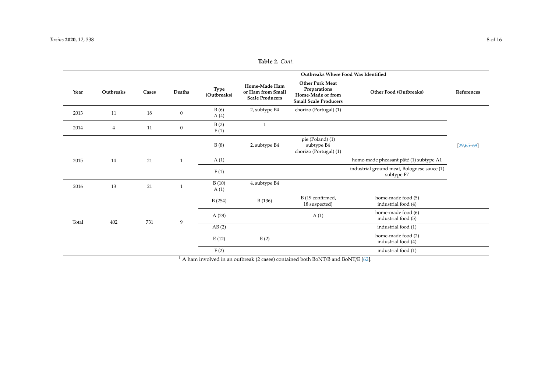|       |                |       |                  | Outbreaks Where Food Was Identified |                                                              |                                                                                             |                                                           |                 |
|-------|----------------|-------|------------------|-------------------------------------|--------------------------------------------------------------|---------------------------------------------------------------------------------------------|-----------------------------------------------------------|-----------------|
| Year  | Outbreaks      | Cases | Deaths           | Type<br>(Outbreaks)                 | Home-Made Ham<br>or Ham from Small<br><b>Scale Producers</b> | <b>Other Pork Meat</b><br>Preparations<br>Home-Made or from<br><b>Small Scale Producers</b> | Other Food (Outbreaks)                                    | References      |
| 2013  | 11             | 18    | $\boldsymbol{0}$ | B(6)<br>A(4)                        | 2, subtype B4                                                | chorizo (Portugal) (1)                                                                      |                                                           |                 |
| 2014  | $\overline{4}$ | 11    | $\boldsymbol{0}$ | B(2)<br>F(1)                        | $\mathbf{1}$                                                 |                                                                                             |                                                           |                 |
|       |                |       |                  | B(8)                                | 2, subtype B4                                                | pie (Poland) (1)<br>subtype B4<br>chorizo (Portugal) (1)                                    |                                                           | $[29, 65 - 69]$ |
| 2015  | 14             | 21    | $\mathbf{1}$     | A(1)                                |                                                              |                                                                                             | home-made pheasant pâté (1) subtype A1                    |                 |
|       |                |       |                  | F(1)                                |                                                              |                                                                                             | industrial ground meat, Bolognese sauce (1)<br>subtype F7 |                 |
| 2016  | 13             | 21    | $\mathbf{1}$     | B(10)<br>A(1)                       | 4, subtype B4                                                |                                                                                             |                                                           |                 |
|       |                |       |                  | B(254)                              | B(136)                                                       | B (19 confirmed,<br>18 suspected)                                                           | home-made food (5)<br>industrial food (4)                 |                 |
| Total | 402            | 731   | 9                | A(28)                               |                                                              | A(1)                                                                                        | home-made food (6)<br>industrial food (5)                 |                 |
|       |                |       |                  | AB(2)                               |                                                              |                                                                                             | industrial food (1)                                       |                 |
|       |                |       |                  | E(12)                               | E(2)                                                         |                                                                                             | home-made food (2)<br>industrial food (4)                 |                 |
|       |                |       |                  | F(2)                                |                                                              |                                                                                             | industrial food (1)                                       |                 |

<span id="page-7-0"></span> $1$  A ham involved in an outbreak (2 cases) contained both BoNT/B and BoNT/E [\[62\]](#page-14-15).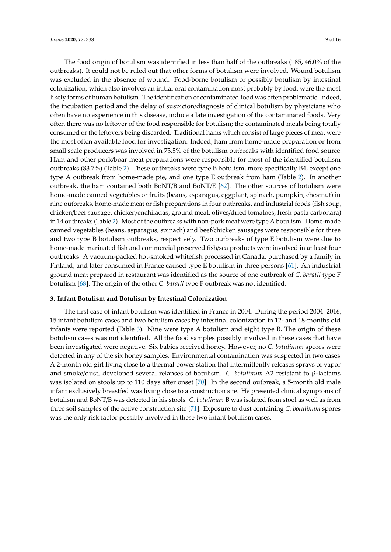The food origin of botulism was identified in less than half of the outbreaks (185, 46.0% of the outbreaks). It could not be ruled out that other forms of botulism were involved. Wound botulism was excluded in the absence of wound. Food-borne botulism or possibly botulism by intestinal colonization, which also involves an initial oral contamination most probably by food, were the most likely forms of human botulism. The identification of contaminated food was often problematic. Indeed, the incubation period and the delay of suspicion/diagnosis of clinical botulism by physicians who often have no experience in this disease, induce a late investigation of the contaminated foods. Very often there was no leftover of the food responsible for botulism; the contaminated meals being totally consumed or the leftovers being discarded. Traditional hams which consist of large pieces of meat were the most often available food for investigation. Indeed, ham from home-made preparation or from small scale producers was involved in 73.5% of the botulism outbreaks with identified food source. Ham and other pork/boar meat preparations were responsible for most of the identified botulism outbreaks (83.7%) (Table [2\)](#page-7-0). These outbreaks were type B botulism, more specifically B4, except one type A outbreak from home-made pie, and one type E outbreak from ham (Table [2\)](#page-7-0). In another outbreak, the ham contained both BoNT/B and BoNT/E [\[62\]](#page-14-19). The other sources of botulism were home-made canned vegetables or fruits (beans, asparagus, eggplant, spinach, pumpkin, chestnut) in nine outbreaks, home-made meat or fish preparations in four outbreaks, and industrial foods (fish soup, chicken/beef sausage, chicken/enchiladas, ground meat, olives/dried tomatoes, fresh pasta carbonara) in 14 outbreaks (Table [2\)](#page-7-0). Most of the outbreaks with non-pork meat were type A botulism. Home-made canned vegetables (beans, asparagus, spinach) and beef/chicken sausages were responsible for three and two type B botulism outbreaks, respectively. Two outbreaks of type E botulism were due to home-made marinated fish and commercial preserved fish/sea products were involved in at least four outbreaks. A vacuum-packed hot-smoked whitefish processed in Canada, purchased by a family in Finland, and later consumed in France caused type E botulism in three persons [\[61\]](#page-14-20). An industrial ground meat prepared in restaurant was identified as the source of one outbreak of *C. baratii* type F botulism [\[68\]](#page-15-1). The origin of the other *C. baratii* type F outbreak was not identified.

### **3. Infant Botulism and Botulism by Intestinal Colonization**

The first case of infant botulism was identified in France in 2004. During the period 2004–2016, 15 infant botulism cases and two botulism cases by intestinal colonization in 12- and 18-months old infants were reported (Table [3\)](#page-9-0). Nine were type A botulism and eight type B. The origin of these botulism cases was not identified. All the food samples possibly involved in these cases that have been investigated were negative. Six babies received honey. However, no *C. botulinum* spores were detected in any of the six honey samples. Environmental contamination was suspected in two cases. A 2-month old girl living close to a thermal power station that intermittently releases sprays of vapor and smoke/dust, developed several relapses of botulism. *C. botulinum* A2 resistant to β-lactams was isolated on stools up to 110 days after onset [\[70\]](#page-15-2). In the second outbreak, a 5-month old male infant exclusively breastfed was living close to a construction site. He presented clinical symptoms of botulism and BoNT/B was detected in his stools. *C. botulinum* B was isolated from stool as well as from three soil samples of the active construction site [\[71\]](#page-15-3). Exposure to dust containing *C. botulinum* spores was the only risk factor possibly involved in these two infant botulism cases.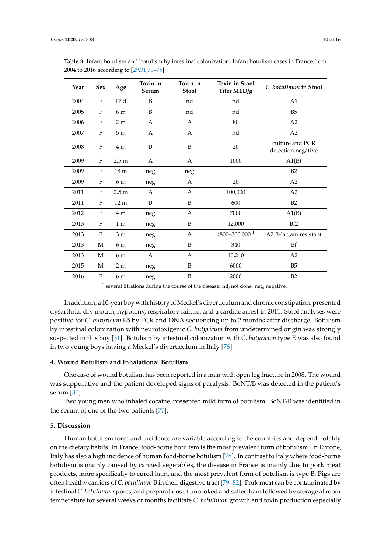| Year | <b>Sex</b>   | Age              | Toxin in<br>Serum | Toxin in<br><b>Stool</b> | <b>Toxin in Stool</b><br>Titer MLD/g | C. botulinum in Stool                 |
|------|--------------|------------------|-------------------|--------------------------|--------------------------------------|---------------------------------------|
| 2004 | F            | 17d              | B                 | nd                       | nd                                   | A <sub>1</sub>                        |
| 2005 | F            | 6 m              | B                 | nd                       | nd                                   | B <sub>5</sub>                        |
| 2006 | $\mathbf{F}$ | 2 <sub>m</sub>   | A                 | A                        | 80                                   | A2                                    |
| 2007 | $\mathbf{F}$ | 5 <sub>m</sub>   | A                 | A                        | nd                                   | A2                                    |
| 2008 | F            | 4 <sub>m</sub>   | B                 | B                        | 20                                   | culture and PCR<br>detection negative |
| 2009 | F            | 2.5 <sub>m</sub> | A                 | Α                        | 1000                                 | A1(B)                                 |
| 2009 | $\mathbf{F}$ | 18 <sub>m</sub>  | neg               | neg                      |                                      | B2                                    |
| 2009 | $\mathbf{F}$ | 6 m              | neg               | Α                        | 20                                   | A2                                    |
| 2011 | F            | 2.5 <sub>m</sub> | A                 | A                        | 100,000                              | A2                                    |
| 2011 | F            | 12 <sub>m</sub>  | B                 | B                        | 600                                  | B2                                    |
| 2012 | F            | 4 <sub>m</sub>   | neg               | A                        | 7000                                 | A1(B)                                 |
| 2013 | F            | 1 <sub>m</sub>   | neg               | B                        | 12,000                               | Bf2                                   |
| 2013 | F            | 3 <sub>m</sub>   | neg               | A                        | 4800-300,000 <sup>1</sup>            | A2 $β$ -lactam resistant              |
| 2013 | M            | 6 m              | neg               | B                        | 340                                  | <b>Bf</b>                             |
| 2013 | M            | 6 m              | A                 | A                        | 10,240                               | A2                                    |
| 2015 | M            | $2\ {\rm m}$     | neg               | B                        | 6000                                 | B <sub>5</sub>                        |
| 2016 | F            | 6 m              | neg               | B                        | 2000                                 | B2                                    |

<span id="page-9-0"></span>**Table 3.** Infant botulism and botulism by intestinal colonization. Infant botulism cases in France from 2004 to 2016 according to [\[29](#page-13-21)[,31,](#page-13-22)[70](#page-15-2)[–75\]](#page-15-4).

 $<sup>1</sup>$  several titrations during the course of the disease. nd, not done. neg, negative.</sup>

In addition, a 10-year boy with history of Meckel's diverticulum and chronic constipation, presented dysarthria, dry mouth, hypotony, respiratory failure, and a cardiac arrest in 2011. Stool analyses were positive for *C. butyricum* E5 by PCR and DNA sequencing up to 2 months after discharge. Botulism by intestinal colonization with neurotoxigenic *C. butyricum* from undetermined origin was strongly suspected in this boy [\[31\]](#page-13-22). Botulism by intestinal colonization with *C. butyricum* type E was also found in two young boys having a Meckel's diverticulum in Italy [\[76\]](#page-15-5).

### **4. Wound Botulism and Inhalational Botulism**

One case of wound botulism has been reported in a man with open leg fracture in 2008. The wound was suppurative and the patient developed signs of paralysis. BoNT/B was detected in the patient's serum [\[30\]](#page-13-30).

Two young men who inhaled cocaine, presented mild form of botulism. BoNT/B was identified in the serum of one of the two patients [\[77\]](#page-15-6).

### **5. Discussion**

Human botulism form and incidence are variable according to the countries and depend notably on the dietary habits. In France, food-borne botulism is the most prevalent form of botulism. In Europe, Italy has also a high incidence of human food-borne botulism [\[78\]](#page-15-7). In contrast to Italy where food-borne botulism is mainly caused by canned vegetables, the disease in France is mainly due to pork meat products, more specifically to cured ham, and the most prevalent form of botulism is type B. Pigs are often healthy carriers of *C. botulinum* B in their digestive tract [\[79](#page-15-8)[–82\]](#page-15-9). Pork meat can be contaminated by intestinal *C. botulinum* spores, and preparations of uncooked and salted ham followed by storage at room temperature for several weeks or months facilitate *C. botulinum* growth and toxin production especially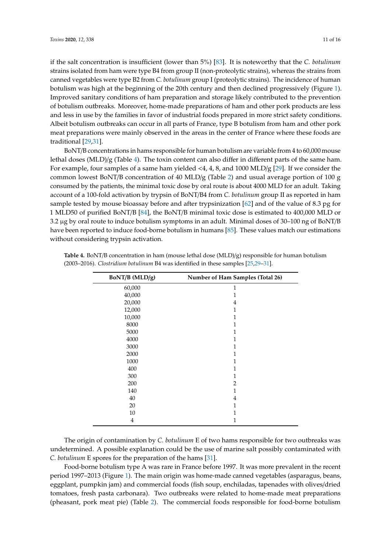if the salt concentration is insufficient (lower than 5%) [\[83\]](#page-15-10). It is noteworthy that the *C. botulinum* strains isolated from ham were type B4 from group II (non-proteolytic strains), whereas the strains from canned vegetables were type B2 from *C. botulinum* group I (proteolytic strains). The incidence of human botulism was high at the beginning of the 20th century and then declined progressively (Figure [1\)](#page-2-0). Improved sanitary conditions of ham preparation and storage likely contributed to the prevention of botulism outbreaks. Moreover, home-made preparations of ham and other pork products are less and less in use by the families in favor of industrial foods prepared in more strict safety conditions. Albeit botulism outbreaks can occur in all parts of France, type B botulism from ham and other pork meat preparations were mainly observed in the areas in the center of France where these foods are traditional [\[29,](#page-13-21)[31\]](#page-13-22).

BoNT/B concentrations in hams responsible for human botulism are variable from 4 to 60,000 mouse lethal doses (MLD)/g (Table [4\)](#page-10-0). The toxin content can also differ in different parts of the same ham. For example, four samples of a same ham yielded <4, 4, 8, and 1000 MLD/g [\[29\]](#page-13-21). If we consider the common lowest BoNT/B concentration of 40 MLD/g (Table [2\)](#page-7-0) and usual average portion of 100 g consumed by the patients, the minimal toxic dose by oral route is about 4000 MLD for an adult. Taking account of a 100-fold activation by trypsin of BoNT/B4 from *C. botulinum* group II as reported in ham sample tested by mouse bioassay before and after trypsinization [\[62\]](#page-14-19) and of the value of 8.3 pg for 1 MLD50 of purified BoNT/B [\[84\]](#page-15-11), the BoNT/B minimal toxic dose is estimated to 400,000 MLD or 3.2 µg by oral route to induce botulism symptoms in an adult. Minimal doses of 30–100 ng of BoNT/B have been reported to induce food-borne botulism in humans [\[85\]](#page-15-12). These values match our estimations without considering trypsin activation.

| BoNT/B (MLD/g) | Number of Ham Samples (Total 26) |
|----------------|----------------------------------|
| 60,000         | $\mathbf{1}$                     |
| 40,000         | 1                                |
| 20,000         | 4                                |
| 12,000         | $\mathbf{1}$                     |
| 10,000         | 1                                |
| 8000           | 1                                |
| 5000           | 1                                |
| 4000           | 1                                |
| 3000           | 1                                |
| 2000           | 1                                |
| 1000           | 1                                |
| 400            | 1                                |
| 300            | 1                                |
| 200            | 2                                |
| 140            | 1                                |
| 40             | 4                                |
| 20             | 1                                |
| 10             | 1                                |
| 4              | 1                                |

<span id="page-10-0"></span>**Table 4.** BoNT/B concentration in ham (mouse lethal dose (MLD)/g) responsible for human botulism (2003–2016). *Clostridium botulinum* B4 was identified in these samples [\[25,](#page-13-31)[29](#page-13-21)[–31\]](#page-13-22).

The origin of contamination by *C. botulinum* E of two hams responsible for two outbreaks was undetermined. A possible explanation could be the use of marine salt possibly contaminated with *C. botulinum* E spores for the preparation of the hams [\[31\]](#page-13-22).

Food-borne botulism type A was rare in France before 1997. It was more prevalent in the recent period 1997–2013 (Figure [1\)](#page-2-0). The main origin was home-made canned vegetables (asparagus, beans, eggplant, pumpkin jam) and commercial foods (fish soup, enchiladas, tapenades with olives/dried tomatoes, fresh pasta carbonara). Two outbreaks were related to home-made meat preparations (pheasant, pork meat pie) (Table [2\)](#page-7-0). The commercial foods responsible for food-borne botulism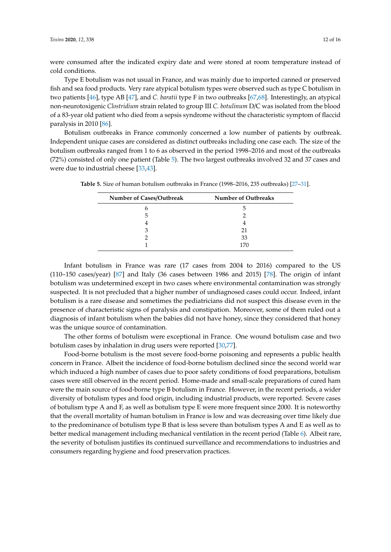were consumed after the indicated expiry date and were stored at room temperature instead of cold conditions.

Type E botulism was not usual in France, and was mainly due to imported canned or preserved fish and sea food products. Very rare atypical botulism types were observed such as type C botulism in two patients [\[46\]](#page-14-1), type AB [\[47\]](#page-14-2), and *C. baratii* type F in two outbreaks [\[67](#page-14-21)[,68\]](#page-15-1). Interestingly, an atypical non-neurotoxigenic *Clostridium* strain related to group III *C. botulinum* D/C was isolated from the blood of a 83-year old patient who died from a sepsis syndrome without the characteristic symptom of flaccid paralysis in 2010 [\[86\]](#page-15-13).

Botulism outbreaks in France commonly concerned a low number of patients by outbreak. Independent unique cases are considered as distinct outbreaks including one case each. The size of the botulism outbreaks ranged from 1 to 6 as observed in the period 1998–2016 and most of the outbreaks (72%) consisted of only one patient (Table [5\)](#page-11-0). The two largest outbreaks involved 32 and 37 cases and were due to industrial cheese [\[33,](#page-13-16)[43\]](#page-13-19).

| Number of Cases/Outbreak | <b>Number of Outbreaks</b> |
|--------------------------|----------------------------|
| n                        | h                          |
| 5                        |                            |
|                          |                            |
| З                        | 21                         |
|                          | 33                         |
|                          | 170                        |

<span id="page-11-0"></span>**Table 5.** Size of human botulism outbreaks in France (1998–2016, 235 outbreaks) [\[27–](#page-13-32)[31\]](#page-13-22).

Infant botulism in France was rare (17 cases from 2004 to 2016) compared to the US (110–150 cases/year) [\[87\]](#page-15-14) and Italy (36 cases between 1986 and 2015) [\[78\]](#page-15-7). The origin of infant botulism was undetermined except in two cases where environmental contamination was strongly suspected. It is not precluded that a higher number of undiagnosed cases could occur. Indeed, infant botulism is a rare disease and sometimes the pediatricians did not suspect this disease even in the presence of characteristic signs of paralysis and constipation. Moreover, some of them ruled out a diagnosis of infant botulism when the babies did not have honey, since they considered that honey was the unique source of contamination.

The other forms of botulism were exceptional in France. One wound botulism case and two botulism cases by inhalation in drug users were reported [\[30,](#page-13-30)[77\]](#page-15-6).

Food-borne botulism is the most severe food-borne poisoning and represents a public health concern in France. Albeit the incidence of food-borne botulism declined since the second world war which induced a high number of cases due to poor safety conditions of food preparations, botulism cases were still observed in the recent period. Home-made and small-scale preparations of cured ham were the main source of food-borne type B botulism in France. However, in the recent periods, a wider diversity of botulism types and food origin, including industrial products, were reported. Severe cases of botulism type A and F, as well as botulism type E were more frequent since 2000. It is noteworthy that the overall mortality of human botulism in France is low and was decreasing over time likely due to the predominance of botulism type B that is less severe than botulism types A and E as well as to better medical management including mechanical ventilation in the recent period (Table [6\)](#page-12-10). Albeit rare, the severity of botulism justifies its continued surveillance and recommendations to industries and consumers regarding hygiene and food preservation practices.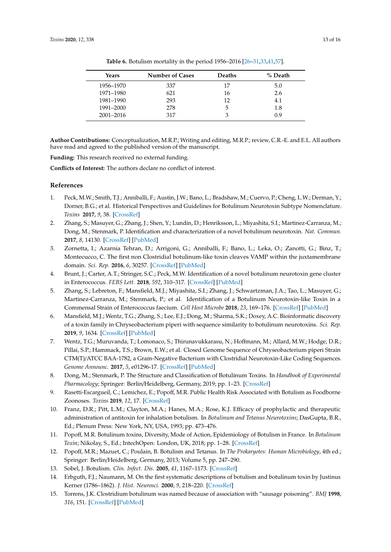<span id="page-12-10"></span>

| Years     | <b>Number of Cases</b> | <b>Deaths</b> | % Death |
|-----------|------------------------|---------------|---------|
| 1956–1970 | 337                    | 17            | 5.0     |
| 1971–1980 | 621                    | 16            | 2.6     |
| 1981-1990 | 293                    | 12            | 4.1     |
| 1991–2000 | 278                    | 5             | 1.8     |
| 2001-2016 | 317                    | 3             | 0.9     |

**Table 6.** Botulism mortality in the period 1956–2016 [\[26](#page-13-33)[–31](#page-13-22)[,33,](#page-13-16)[41,](#page-13-17)[57\]](#page-14-22).

**Author Contributions:** Conceptualization, M.R.P.; Writing and editing, M.R.P.; review, C.R.-E. and E.L. All authors have read and agreed to the published version of the manuscript.

**Funding:** This research received no external funding.

**Conflicts of Interest:** The authors declare no conflict of interest.

## **References**

- <span id="page-12-0"></span>1. Peck, M.W.; Smith, T.J.; Anniballi, F.; Austin, J.W.; Bano, L.; Bradshaw, M.; Cuervo, P.; Cheng, L.W.; Derman, Y.; Dorner, B.G.; et al. Historical Perspectives and Guidelines for Botulinum Neurotoxin Subtype Nomenclature. *Toxins* **2017**, *9*, 38. [\[CrossRef\]](http://dx.doi.org/10.3390/toxins9010038)
- <span id="page-12-1"></span>2. Zhang, S.; Masuyer, G.; Zhang, J.; Shen, Y.; Lundin, D.; Henriksson, L.; Miyashita, S.I.; Martinez-Carranza, M.; Dong, M.; Stenmark, P. Identification and characterization of a novel botulinum neurotoxin. *Nat. Commun.* **2017**, *8*, 14130. [\[CrossRef\]](http://dx.doi.org/10.1038/ncomms14130) [\[PubMed\]](http://www.ncbi.nlm.nih.gov/pubmed/28770820)
- <span id="page-12-2"></span>3. Zornetta, I.; Azarnia Tehran, D.; Arrigoni, G.; Anniballi, F.; Bano, L.; Leka, O.; Zanotti, G.; Binz, T.; Montecucco, C. The first non Clostridial botulinum-like toxin cleaves VAMP within the juxtamembrane domain. *Sci. Rep.* **2016**, *6*, 30257. [\[CrossRef\]](http://dx.doi.org/10.1038/srep30257) [\[PubMed\]](http://www.ncbi.nlm.nih.gov/pubmed/27443638)
- 4. Brunt, J.; Carter, A.T.; Stringer, S.C.; Peck, M.W. Identification of a novel botulinum neurotoxin gene cluster in Enterococcus. *FEBS Lett.* **2018**, *592*, 310–317. [\[CrossRef\]](http://dx.doi.org/10.1002/1873-3468.12969) [\[PubMed\]](http://www.ncbi.nlm.nih.gov/pubmed/29323697)
- 5. Zhang, S.; Lebreton, F.; Mansfield, M.J.; Miyashita, S.I.; Zhang, J.; Schwartzman, J.A.; Tao, L.; Masuyer, G.; Martinez-Carranza, M.; Stenmark, P.; et al. Identification of a Botulinum Neurotoxin-like Toxin in a Commensal Strain of Enterococcus faecium. *Cell Host Microbe* **2018**, *23*, 169–176. [\[CrossRef\]](http://dx.doi.org/10.1016/j.chom.2017.12.018) [\[PubMed\]](http://www.ncbi.nlm.nih.gov/pubmed/29396040)
- 6. Mansfield, M.J.; Wentz, T.G.; Zhang, S.; Lee, E.J.; Dong, M.; Sharma, S.K.; Doxey, A.C. Bioinformatic discovery of a toxin family in Chryseobacterium piperi with sequence similarity to botulinum neurotoxins. *Sci. Rep.* **2019**, *9*, 1634. [\[CrossRef\]](http://dx.doi.org/10.1038/s41598-018-37647-8) [\[PubMed\]](http://www.ncbi.nlm.nih.gov/pubmed/30733520)
- 7. Wentz, T.G.; Muruvanda, T.; Lomonaco, S.; Thirunavukkarasu, N.; Hoffmann, M.; Allard, M.W.; Hodge, D.R.; Pillai, S.P.; Hammack, T.S.; Brown, E.W.; et al. Closed Genome Sequence of Chryseobacterium piperi Strain CTM(T)/ATCC BAA-1782, a Gram-Negative Bacterium with Clostridial Neurotoxin-Like Coding Sequences. *Genome Announc.* **2017**, *5*, e01296-17. [\[CrossRef\]](http://dx.doi.org/10.1128/genomeA.01296-17) [\[PubMed\]](http://www.ncbi.nlm.nih.gov/pubmed/29192076)
- <span id="page-12-3"></span>8. Dong, M.; Stenmark, P. The Structure and Classification of Botulinum Toxins. In *Handbook of Experimental Pharmacology*; Springer: Berlin/Heidelberg, Germany, 2019; pp. 1–23. [\[CrossRef\]](http://dx.doi.org/10.1007/164_2019_342)
- <span id="page-12-4"></span>9. Rasetti-Escargueil, C.; Lemichez, E.; Popoff, M.R. Public Health Risk Associated with Botulism as Foodborne Zoonoses. *Toxins* **2019**, *12*, 17. [\[CrossRef\]](http://dx.doi.org/10.3390/toxins12010017)
- <span id="page-12-5"></span>10. Franz, D.R.; Pitt, L.M.; Clayton, M.A.; Hanes, M.A.; Rose, K.J. Efficacy of prophylactic and therapeutic administration of antitoxin for inhalation botulism. In *Botulinum and Tetanus Neurotoxins*; DasGupta, B.R., Ed.; Plenum Press: New York, NY, USA, 1993; pp. 473–476.
- <span id="page-12-9"></span>11. Popoff, M.R. Botulinum toxins, Diversity, Mode of Action, Epidemiology of Botulism in France. In *Botulinum Toxin*; Nikolay, S., Ed.; IntechOpen: London, UK, 2018; pp. 1–28. [\[CrossRef\]](http://dx.doi.org/10.5772/intechopen.79056)
- 12. Popoff, M.R.; Mazuet, C.; Poulain, B. Botulism and Tetanus. In *The Prokaryotes: Human Microbiology*, 4th ed.; Springer: Berlin/Heidelberg, Germany, 2013; Volume 5, pp. 247–290.
- <span id="page-12-6"></span>13. Sobel, J. Botulism. *Clin. Infect. Dis.* **2005**, *41*, 1167–1173. [\[CrossRef\]](http://dx.doi.org/10.1086/444507)
- <span id="page-12-7"></span>14. Erbguth, F.J.; Naumann, M. On the first systematic descriptions of botulism and botulinum toxin by Justinus Kerner (1786–1862). *J. Hist. Neurosci.* **2000**, *9*, 218–220. [\[CrossRef\]](http://dx.doi.org/10.1076/0964-704X(200008)9:2;1-Y;FT218)
- <span id="page-12-8"></span>15. Torrens, J.K. Clostridium botulinum was named because of association with "sausage poisoning". *BMJ* **1998**, *316*, 151. [\[CrossRef\]](http://dx.doi.org/10.1136/bmj.316.7125.151c) [\[PubMed\]](http://www.ncbi.nlm.nih.gov/pubmed/9490126)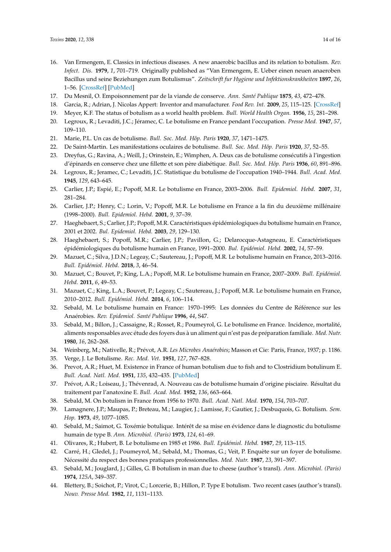- <span id="page-13-26"></span><span id="page-13-25"></span><span id="page-13-24"></span><span id="page-13-23"></span><span id="page-13-0"></span>16. Van Ermengem, E. Classics in infectious diseases. A new anaerobic bacillus and its relation to botulism. *Rev. Infect. Dis.* **1979**, *1*, 701–719. Originally published as "Van Ermengem, E. Ueber einen neuen anaeroben Bacillus und seine Beziehungen zum Botulismus". *Zeitschrift fur Hygiene und Infektionskrankheiten* **1897**, *26*, 1–56. [\[CrossRef\]](http://dx.doi.org/10.1093/clinids/1.4.701) [\[PubMed\]](http://www.ncbi.nlm.nih.gov/pubmed/399378)
- <span id="page-13-29"></span><span id="page-13-1"></span>17. Du Mesnil, O. Empoisonnement par de la viande de conserve. *Ann. Santé Publique* **1875**, *43*, 472–478.
- <span id="page-13-2"></span>18. Garcia, R.; Adrian, J. Nicolas Appert: Inventor and manufacturer. *Food Rev. Int.* **2009**, *25*, 115–125. [\[CrossRef\]](http://dx.doi.org/10.1080/87559120802682656)
- <span id="page-13-27"></span><span id="page-13-3"></span>19. Meyer, K.F. The status of botulism as a world health problem. *Bull. World Health Organ.* **1956**, *15*, 281–298.
- <span id="page-13-28"></span><span id="page-13-4"></span>20. Legroux, R.; Levaditi, J.C.; Jéramec, C. Le botulisme en France pendant l'occupation. *Presse Med.* **1947**, *57*, 109–110.
- <span id="page-13-5"></span>21. Marie, P.L. Un cas de botulisme. *Bull. Soc. Med. Hôp. Paris* **1920**, *37*, 1471–1475.
- <span id="page-13-6"></span>22. De Saint-Martin. Les manifestations oculaires de botulisme. *Bull. Soc. Med. Hôp. Paris* **1920**, *37*, 52–55.
- <span id="page-13-7"></span>23. Dreyfus, G.; Ravina, A.; Weill, J.; Orinstein, E.; Wimphen, A. Deux cas de botulisme consécutifs à l'ingestion d'épinards en conserve chez une fillette et son père diabétique. *Bull. Soc. Med. Hôp. Paris* **1936**, *60*, 891–896.
- <span id="page-13-8"></span>24. Legroux, R.; Jeramec, C.; Levaditi, J.C. Statistique du botulisme de l'occupation 1940–1944. *Bull. Acad. Med.* **1945**, *129*, 643–645.
- <span id="page-13-31"></span>25. Carlier, J.P.; Espié, E.; Popoff, M.R. Le botulisme en France, 2003–2006. *Bull. Epidemiol. Hebd.* **2007**, *31*, 281–284.
- <span id="page-13-33"></span>26. Carlier, J.P.; Henry, C.; Lorin, V.; Popoff, M.R. Le botulisme en France a la fin du deuxième millénaire (1998–2000). *Bull. Epidemiol. Hebd.* **2001**, *9*, 37–39.
- <span id="page-13-32"></span>27. Haeghebaert, S.; Carlier, J.P.; Popoff, M.R. Caractéristiques épidémiologiques du botulisme humain en France, 2001 et 2002. *Bul. Epidemiol. Hebd.* **2003**, *29*, 129–130.
- <span id="page-13-14"></span>28. Haeghebaert, S.; Popoff, M.R.; Carlier, J.P.; Pavillon, G.; Delarocque-Astagneau, E. Caractéristiques épidémiologiques du botulisme humain en France, 1991–2000. *Bul. Epidémiol. Hebd.* **2002**, *14*, 57–59.
- <span id="page-13-21"></span>29. Mazuet, C.; Silva, J.D.N.; Legeay, C.; Sautereau, J.; Popoff, M.R. Le botulisme humain en France, 2013–2016. *Bull. Epidémiol. Hebd.* **2018**, *3*, 46–54.
- <span id="page-13-30"></span>30. Mazuet, C.; Bouvet, P.; King, L.A.; Popoff, M.R. Le botulisme humain en France, 2007–2009. *Bull. Epidémiol. Hebd.* **2011**, *6*, 49–53.
- <span id="page-13-22"></span>31. Mazuet, C.; King, L.A.; Bouvet, P.; Legeay, C.; Sautereau, J.; Popoff, M.R. Le botulisme humain en France, 2010–2012. *Bull. Epidémiol. Hebd.* **2014**, *6*, 106–114.
- 32. Sebald, M. Le botulisme humain en France: 1970–1995: Les données du Centre de Référence sur les Anaérobies. *Rev. Epidemiol. Santé Publique* **1996**, *44*, S47.
- <span id="page-13-16"></span>33. Sebald, M.; Billon, J.; Cassaigne, R.; Rosset, R.; Poumeyrol, G. Le botulisme en France. Incidence, mortalité, aliments responsables avec étude des foyers dus à un aliment qui n'est pas de préparation familiale. *Med. Nutr.* **1980**, *16*, 262–268.
- 34. Weinberg, M.; Nativelle, R.; Prévot, A.R. *Les Microbes Anaérobies*; Masson et Cie: Paris, France, 1937; p. 1186.
- <span id="page-13-9"></span>35. Verge, J. Le Botulisme. *Rec. Med. Vet.* **1951**, *127*, 767–828.
- <span id="page-13-10"></span>36. Prevot, A.R.; Huet, M. Existence in France of human botulism due to fish and to Clostridium botulinum E. *Bull. Acad. Natl. Med.* **1951**, *135*, 432–435. [\[PubMed\]](http://www.ncbi.nlm.nih.gov/pubmed/14869880)
- <span id="page-13-11"></span>37. Prévot, A.R.; Loiseau, J.; Thévenrad, A. Nouveau cas de botulisme humain d'origine pisciaire. Résultat du traitement par l'anatoxine E. *Bull. Acad. Med.* **1952**, *136*, 663–664.
- <span id="page-13-12"></span>38. Sebald, M. On botulism in France from 1956 to 1970. *Bull. Acad. Natl. Med.* **1970**, *154*, 703–707.
- <span id="page-13-13"></span>39. Lamagnere, J.P.; Maupas, P.; Breteau, M.; Laugier, J.; Lamisse, F.; Gautier, J.; Desbuquois, G. Botulism. *Sem. Hop.* **1973**, *49*, 1077–1085.
- <span id="page-13-15"></span>40. Sebald, M.; Saimot, G. Toxémie botulique. Intérêt de sa mise en évidence dans le diagnostic du botulisme humain de type B. *Ann. Microbiol. (Paris)* **1973**, *124*, 61–69.
- <span id="page-13-17"></span>41. Olivares, R.; Hubert, B. Le botulisme en 1985 et 1986. *Bull. Epidémiol. Hebd.* **1987**, *29*, 113–115.
- <span id="page-13-18"></span>42. Carré, H.; Gledel, J.; Poumeyrol, M.; Sebald, M.; Thomas, G.; Veit, P. Enquète sur un foyer de botulisme. Nécessité du respect des bonnes pratiques professionnelles. *Med. Nutr.* **1987**, *23*, 391–397.
- <span id="page-13-19"></span>43. Sebald, M.; Jouglard, J.; Gilles, G. B botulism in man due to cheese (author's transl). *Ann. Microbiol. (Paris)* **1974**, *125A*, 349–357.
- <span id="page-13-20"></span>44. Blettery, B.; Soichot, P.; Virot, C.; Lorcerie, B.; Hillon, P. Type E botulism. Two recent cases (author's transl). *Nouv. Presse Med.* **1982**, *11*, 1131–1133.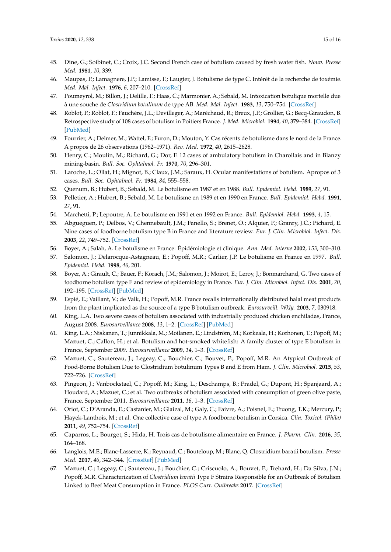- <span id="page-14-10"></span><span id="page-14-9"></span><span id="page-14-8"></span><span id="page-14-7"></span><span id="page-14-0"></span>45. Dine, G.; Soibinet, C.; Croix, J.C. Second French case of botulism caused by fresh water fish. *Nouv. Presse Med.* **1981**, *10*, 339.
- <span id="page-14-12"></span><span id="page-14-1"></span>46. Maupas, P.; Lamagnere, J.P.; Lamisse, F.; Laugier, J. Botulisme de type C. Intérêt de la recherche de toxémie. *Med. Mal. Infect.* **1976**, *6*, 207–210. [\[CrossRef\]](http://dx.doi.org/10.1016/S0399-077X(76)80079-0)
- <span id="page-14-11"></span><span id="page-14-2"></span>47. Poumeyrol, M.; Billon, J.; Delille, F.; Haas, C.; Marmonier, A.; Sebald, M. Intoxication botulique mortelle due à une souche de *Clostridium botulinum* de type AB. *Med. Mal. Infect.* **1983**, *13*, 750–754. [\[CrossRef\]](http://dx.doi.org/10.1016/S0399-077X(83)80014-6)
- <span id="page-14-13"></span><span id="page-14-3"></span>48. Roblot, P.; Roblot, F.; Fauchère, J.L.; Devilleger, A.; Maréchaud, R.; Breux, J.P.; Grollier, G.; Becq-Giraudon, B. Retrospective study of 108 cases of botulism in Poitiers France. *J. Med. Microbiol.* **1994**, *40*, 379–384. [\[CrossRef\]](http://dx.doi.org/10.1099/00222615-40-6-379) [\[PubMed\]](http://www.ncbi.nlm.nih.gov/pubmed/8006928)
- <span id="page-14-4"></span>49. Fourrier, A.; Delmer, M.; Wattel, F.; Furon, D.; Mouton, Y. Cas récents de botulisme dans le nord de la France. A propos de 26 observations (1962–1971). *Rev. Med.* **1972**, *40*, 2615–2628.
- <span id="page-14-14"></span><span id="page-14-5"></span>50. Henry, C.; Moulin, M.; Richard, G.; Dor, F. 12 cases of ambulatory botulism in Charollais and in Blanzy mining-basin. *Bull. Soc. Ophtalmol. Fr.* **1970**, *70*, 296–301.
- <span id="page-14-6"></span>51. Laroche, L.; Ollat, H.; Mignot, B.; Claux, J.M.; Saraux, H. Ocular manifestations of botulism. Apropos of 3 cases. *Bull. Soc. Ophtalmol. Fr.* **1984**, *84*, 555–558.
- 52. Quenum, B.; Hubert, B.; Sebald, M. Le botulisme en 1987 et en 1988. *Bull. Epidemiol. Hebd.* **1989**, *27*, 91.
- <span id="page-14-15"></span>53. Pelletier, A.; Hubert, B.; Sebald, M. Le botulisme en 1989 et en 1990 en France. *Bull. Epidemiol. Hebd.* **1991**, *27*, 91.
- <span id="page-14-16"></span>54. Marchetti, P.; Lepoutre, A. Le botulisme en 1991 et en 1992 en France. *Bull. Epidemiol. Hebd.* **1993**, *4*, 15.
- 55. Abgueguen, P.; Delbos, V.; Chennebault, J.M.; Fanello, S.; Brenet, O.; Alquier, P.; Granry, J.C.; Pichard, E. Nine cases of foodborne botulism type B in France and literature review. *Eur. J. Clin. Microbiol. Infect. Dis.* **2003**, *22*, 749–752. [\[CrossRef\]](http://dx.doi.org/10.1007/s10096-003-1019-y)
- <span id="page-14-17"></span>56. Boyer, A.; Salah, A. Le botulisme en France: Épidémiologie et clinique. *Ann. Med. Interne* **2002**, *153*, 300–310.
- <span id="page-14-22"></span>57. Salomon, J.; Delarocque-Astagneau, E.; Popoff, M.R.; Carlier, J.P. Le botulisme en France en 1997. *Bull. Epidemiol. Hebd.* **1998**, *46*, 201.
- <span id="page-14-18"></span>58. Boyer, A.; Girault, C.; Bauer, F.; Korach, J.M.; Salomon, J.; Moirot, E.; Leroy, J.; Bonmarchand, G. Two cases of foodborne botulism type E and review of epidemiology in France. *Eur. J. Clin. Microbiol. Infect. Dis.* **2001**, *20*, 192–195. [\[CrossRef\]](http://dx.doi.org/10.1007/s100960100466) [\[PubMed\]](http://www.ncbi.nlm.nih.gov/pubmed/11347670)
- 59. Espié, E.; Vaillant, V.; de Valk, H.; Popoff, M.R. France recalls internationally distributed halal meat products from the plant implicated as the source of a type B botulism outbreak. *Eurosurveill. Wkly.* **2003**, *7*, 030918.
- 60. King, L.A. Two severe cases of botulism associated with industrially produced chicken enchiladas, France, August 2008. *Eurosurveillance* **2008**, *13*, 1–2. [\[CrossRef\]](http://dx.doi.org/10.2807/ese.13.37.18978-en) [\[PubMed\]](http://www.ncbi.nlm.nih.gov/pubmed/18801317)
- <span id="page-14-20"></span>61. King, L.A.; Niskanen, T.; Junnikkala, M.; Moilanen, E.; Lindstrôm, M.; Korkeala, H.; Korhonen, T.; Popoff, M.; Mazuet, C.; Callon, H.; et al. Botulism and hot-smoked whitefish: A family cluster of type E botulism in France, September 2009. *Eurosurveillance* **2009**, *14*, 1–3. [\[CrossRef\]](http://dx.doi.org/10.2807/ese.14.45.19394-en)
- <span id="page-14-19"></span>62. Mazuet, C.; Sautereau, J.; Legeay, C.; Bouchier, C.; Bouvet, P.; Popoff, M.R. An Atypical Outbreak of Food-Borne Botulism Due to Clostridium botulinum Types B and E from Ham. *J. Clin. Microbiol.* **2015**, *53*, 722–726. [\[CrossRef\]](http://dx.doi.org/10.1128/JCM.02942-14)
- 63. Pingeon, J.; Vanbockstael, C.; Popoff, M.; King, L.; Deschamps, B.; Pradel, G.; Dupont, H.; Spanjaard, A.; Houdard, A.; Mazuet, C.; et al. Two outbreaks of botulism associated with consumption of green olive paste, France, September 2011. *Eurosurveillance* **2011**, *16*, 1–3. [\[CrossRef\]](http://dx.doi.org/10.2807/ese.16.49.20035-en)
- 64. Oriot, C.; D'Aranda, E.; Castanier, M.; Glaizal, M.; Galy, C.; Faivre, A.; Poisnel, E.; Truong, T.K.; Mercury, P.; Hayek-Lanthois, M.; et al. One collective case of type A foodborne botulism in Corsica. *Clin. Toxicol. (Phila)* **2011**, *49*, 752–754. [\[CrossRef\]](http://dx.doi.org/10.3109/15563650.2011.606222)
- 65. Caparros, L.; Bourget, S.; Hida, H. Trois cas de botulisme alimentaire en France. *J. Pharm. Clin.* **2016**, *35*, 164–168.
- 66. Langlois, M.E.; Blanc-Lasserre, K.; Reynaud, C.; Bouteloup, M.; Blanc, Q. Clostridium baratii botulism. *Presse Med.* **2017**, *46*, 342–344. [\[CrossRef\]](http://dx.doi.org/10.1016/j.lpm.2016.11.019) [\[PubMed\]](http://www.ncbi.nlm.nih.gov/pubmed/28110769)
- <span id="page-14-21"></span>67. Mazuet, C.; Legeay, C.; Sautereau, J.; Bouchier, C.; Criscuolo, A.; Bouvet, P.; Trehard, H.; Da Silva, J.N.; Popoff, M.R. Characterization of *Clostridium baratii* Type F Strains Responsible for an Outbreak of Botulism Linked to Beef Meat Consumption in France. *PLOS Curr. Outbreaks* **2017**. [\[CrossRef\]](http://dx.doi.org/10.1371/currents.outbreaks.6ed2fe754b58a5c42d0c33d586ffc606)